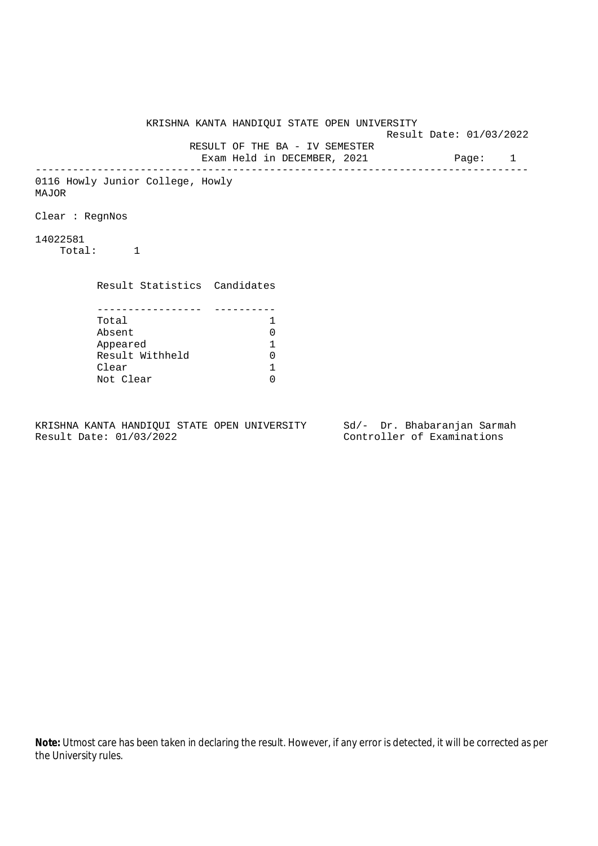KRISHNA KANTA HANDIQUI STATE OPEN UNIVERSITY Result Date: 01/03/2022 RESULT OF THE BA - IV SEMESTER Exam Held in DECEMBER, 2021 Page: 1 -------------------------------------------------------------------------------- 0116 Howly Junior College, Howly MAJOR Clear : RegnNos 14022581 Total: 1 Result Statistics Candidates ----------------- ---------- Total 1 Absent 0 Appeared 1 Result Withheld 0<br>Clear 1 Clear 1<br>Not Clear 1 Not Clear

KRISHNA KANTA HANDIQUI STATE OPEN UNIVERSITY Sd/- Dr. Bhabaranjan Sarmah Result Date: 01/03/2022 Controller of Examinations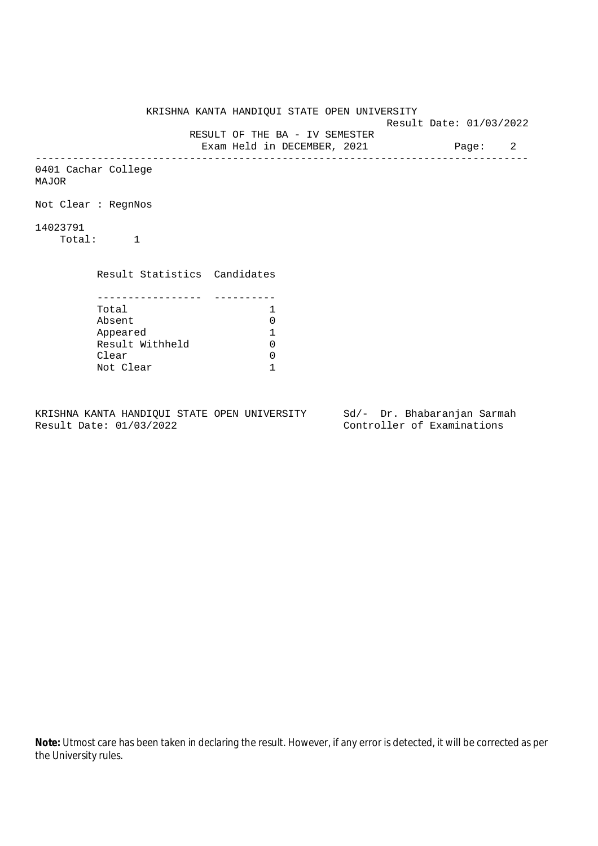KRISHNA KANTA HANDIQUI STATE OPEN UNIVERSITY Result Date: 01/03/2022 RESULT OF THE BA - IV SEMESTER Exam Held in DECEMBER, 2021 Page: 2 -------------------------------------------------------------------------------- 0401 Cachar College MAJOR Not Clear : RegnNos 14023791 Total: 1 Result Statistics Candidates ----------------- ---------- Total 1<br>Absent 0 Absent 0<br>
Appeared 1<br>
Result Withheld 0 Appeared 1 Result Withheld 0 Clear 0 Not Clear 1

KRISHNA KANTA HANDIQUI STATE OPEN UNIVERSITY Sd/- Dr. Bhabaranjan Sarmah Result Date: 01/03/2022 Controller of Examinations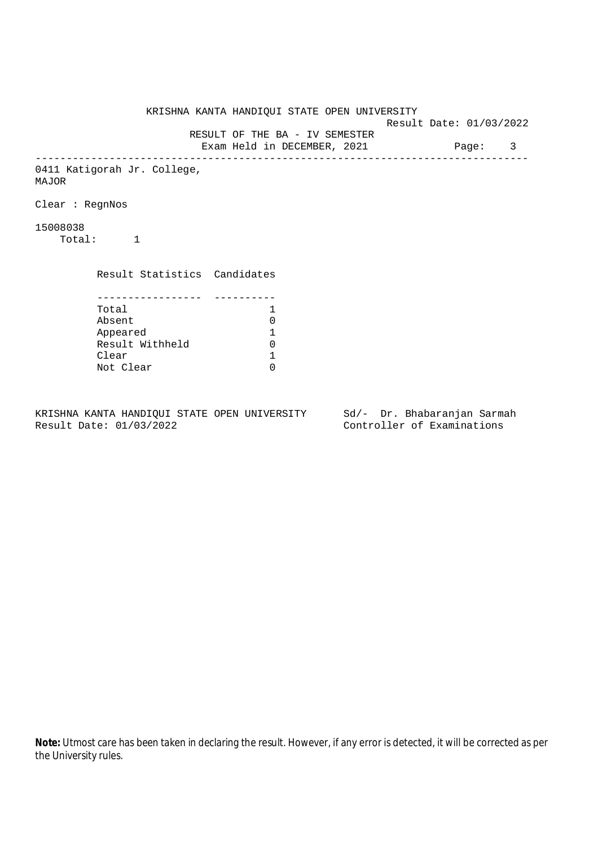KRISHNA KANTA HANDIQUI STATE OPEN UNIVERSITY Result Date: 01/03/2022 RESULT OF THE BA - IV SEMESTER Exam Held in DECEMBER, 2021 Page: 3 -------------------------------------------------------------------------------- 0411 Katigorah Jr. College, MAJOR Clear : RegnNos 15008038 Total: 1 Result Statistics Candidates ----------------- ---------- Total 1 Absent<br>
Appeared 1<br>
Result Withheld 0<br>
Clear 1 Appeared 1 Result Withheld Clear Not Clear 0

KRISHNA KANTA HANDIQUI STATE OPEN UNIVERSITY Sd/- Dr. Bhabaranjan Sarmah Result Date: 01/03/2022 Controller of Examinations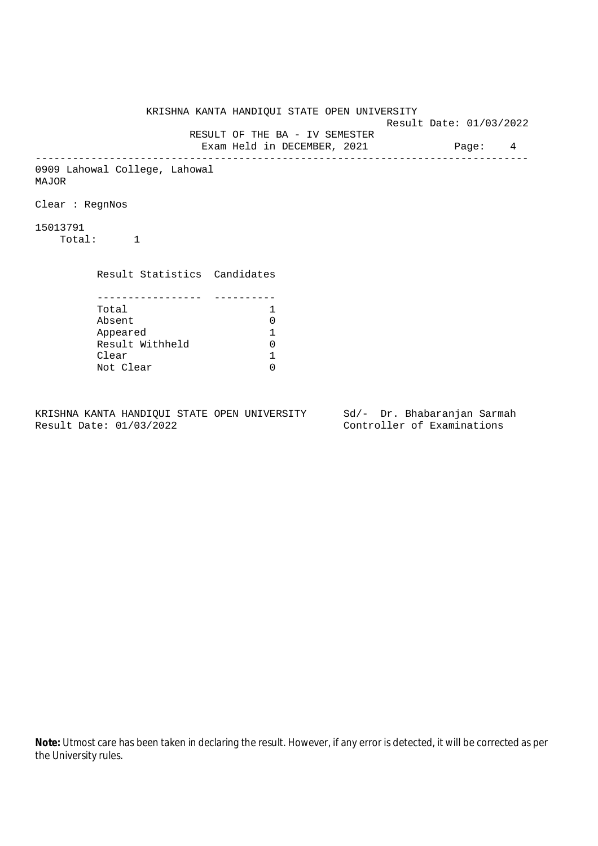KRISHNA KANTA HANDIQUI STATE OPEN UNIVERSITY Result Date: 01/03/2022 RESULT OF THE BA - IV SEMESTER Exam Held in DECEMBER, 2021 Page: 4 -------------------------------------------------------------------------------- 0909 Lahowal College, Lahowal MAJOR Clear : RegnNos 15013791 Total: 1 Result Statistics Candidates ----------------- ---------- Total 1 Absent<br>
Appeared 1<br>
Result Withheld 0<br>
Clear 1 Appeared 1 Result Withheld Clear Not Clear 0

KRISHNA KANTA HANDIQUI STATE OPEN UNIVERSITY Sd/- Dr. Bhabaranjan Sarmah Result Date: 01/03/2022 Controller of Examinations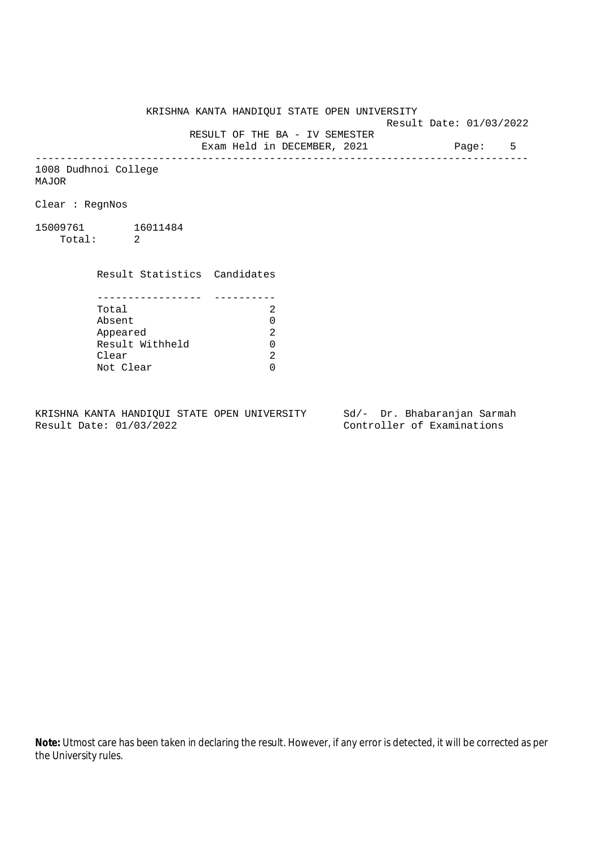KRISHNA KANTA HANDIQUI STATE OPEN UNIVERSITY

Result Date: 01/03/2022

 RESULT OF THE BA - IV SEMESTER Exam Held in DECEMBER, 2021 Page: 5

--------------------------------------------------------------------------------

1008 Dudhnoi College MAJOR

Clear : RegnNos

15009761 16011484 Total: 2

Clear

 Result Statistics Candidates ----------------- ---------- Total 2 Absent<br>
Appeared 2<br>
Result Withheld 0<br>
Clear 2 Appeared 2 Result Withheld

Not Clear 0

KRISHNA KANTA HANDIQUI STATE OPEN UNIVERSITY Sd/- Dr. Bhabaranjan Sarmah Result Date: 01/03/2022 Controller of Examinations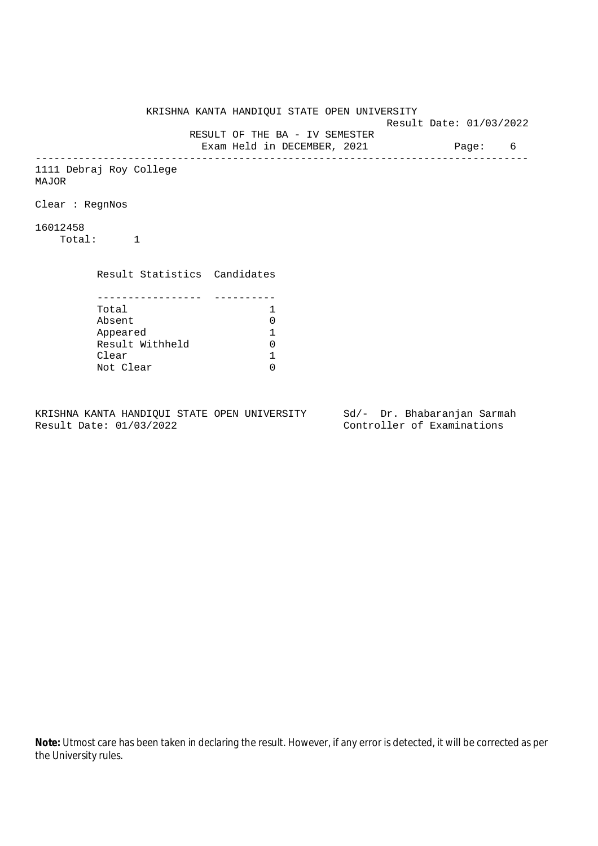KRISHNA KANTA HANDIQUI STATE OPEN UNIVERSITY Result Date: 01/03/2022 RESULT OF THE BA - IV SEMESTER Exam Held in DECEMBER, 2021 Page: 6 -------------------------------------------------------------------------------- 1111 Debraj Roy College MAJOR Clear : RegnNos 16012458 Total: 1 Result Statistics Candidates ----------------- ---------- Total 1<br>Absent 0 Absent<br>
Appeared 1<br>
Result Withheld 0<br>
Clear 1 Appeared 1 Result Withheld 0 Clear Not Clear 0

KRISHNA KANTA HANDIQUI STATE OPEN UNIVERSITY Sd/- Dr. Bhabaranjan Sarmah Result Date: 01/03/2022 Controller of Examinations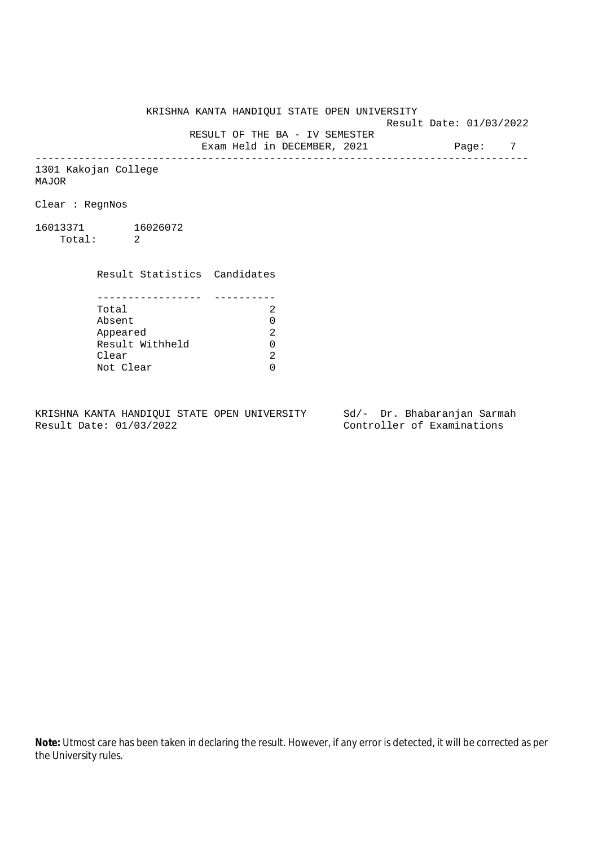KRISHNA KANTA HANDIQUI STATE OPEN UNIVERSITY

Result Date: 01/03/2022

 RESULT OF THE BA - IV SEMESTER Exam Held in DECEMBER, 2021 Page: 7

--------------------------------------------------------------------------------

1301 Kakojan College MAJOR

Clear : RegnNos

16013371 16026072 Total: 2

Clear

 Result Statistics Candidates ----------------- ---------- Total 2 Absent<br>
Appeared 2<br>
Result Withheld 0<br>
Clear 2 Appeared 2 Result Withheld 0

Not Clear 0

KRISHNA KANTA HANDIQUI STATE OPEN UNIVERSITY Sd/- Dr. Bhabaranjan Sarmah

Result Date: 01/03/2022 Controller of Examinations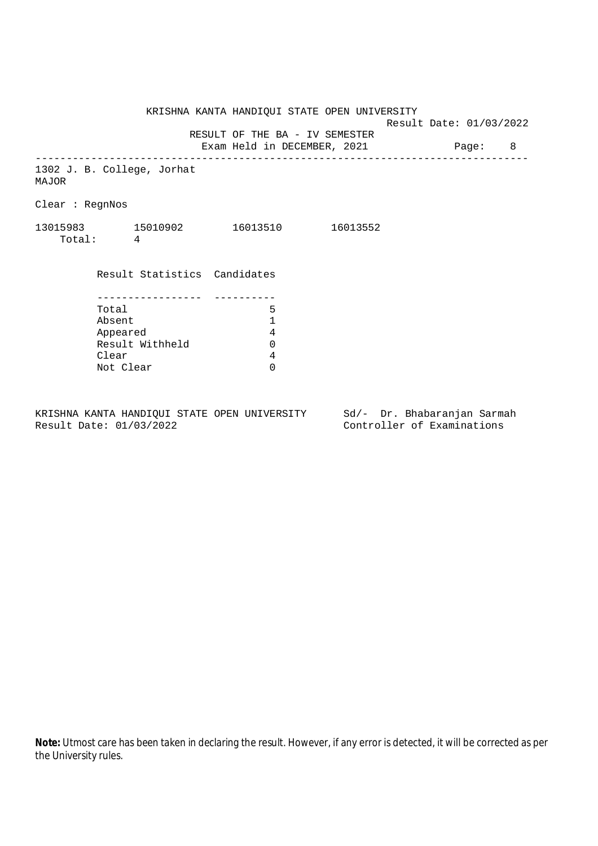KRISHNA KANTA HANDIQUI STATE OPEN UNIVERSITY

Result Date: 01/03/2022

RESULT OF THE BA - IV SEMESTER

Exam Held in DECEMBER, 2021 Page: 8 --------------------------------------------------------------------------------

1302 J. B. College, Jorhat MAJOR

Clear : RegnNos

| 13015983 | 15010902 | 16013510 | 16013552 |
|----------|----------|----------|----------|
| Total:   |          |          |          |

| Result Statistics Candidates |   |
|------------------------------|---|
|                              |   |
|                              |   |
| Total                        |   |
| Absent                       | 1 |
| Appeared                     | 4 |
| Result Withheld              |   |
| Clear                        |   |
| Not Clear                    |   |

KRISHNA KANTA HANDIQUI STATE OPEN UNIVERSITY Sd/- Dr. Bhabaranjan Sarmah<br>Result Date: 01/03/2022 Controller of Examinations

Controller of Examinations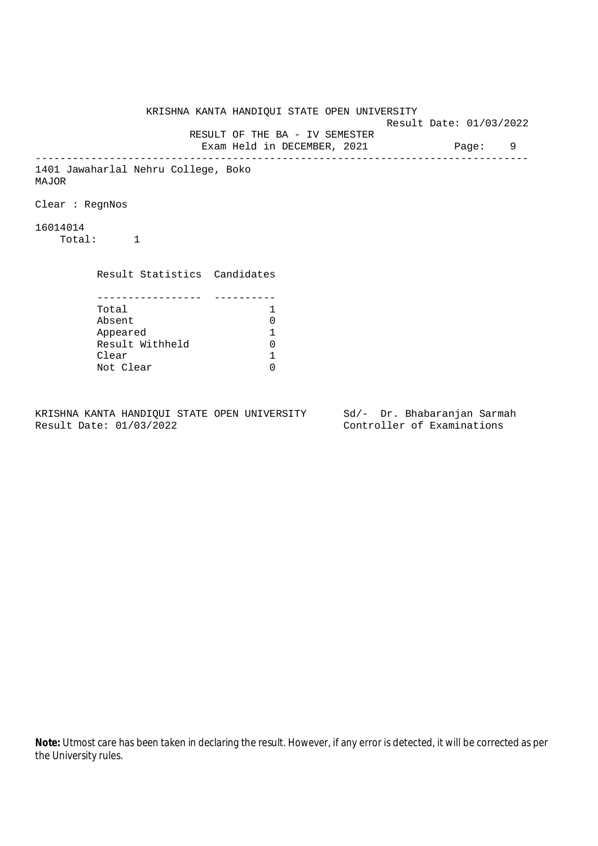KRISHNA KANTA HANDIQUI STATE OPEN UNIVERSITY Result Date: 01/03/2022 RESULT OF THE BA - IV SEMESTER Exam Held in DECEMBER, 2021 Page: 9 -------------------------------------------------------------------------------- 1401 Jawaharlal Nehru College, Boko MAJOR Clear : RegnNos 16014014 Total: 1 Result Statistics Candidates ----------------- ---------- Total 1 Absent<br>
Appeared 1<br>
Result Withheld 0<br>
Clear 1 Appeared 1 Result Withheld Clear Not Clear 0

KRISHNA KANTA HANDIQUI STATE OPEN UNIVERSITY Sd/- Dr. Bhabaranjan Sarmah Result Date: 01/03/2022 Controller of Examinations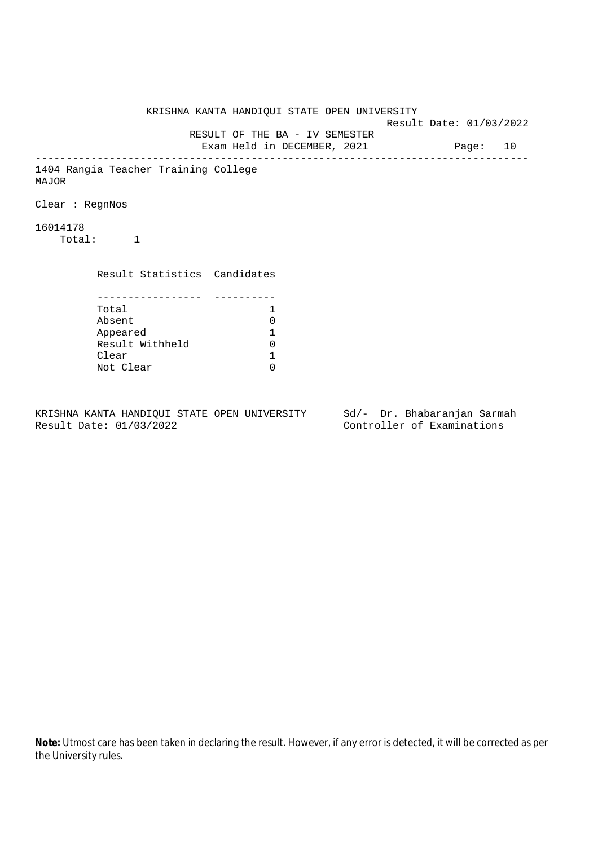KRISHNA KANTA HANDIQUI STATE OPEN UNIVERSITY Result Date: 01/03/2022 RESULT OF THE BA - IV SEMESTER Exam Held in DECEMBER, 2021 Page: 10 -------------------------------------------------------------------------------- 1404 Rangia Teacher Training College MAJOR Clear : RegnNos 16014178 Total: 1 Result Statistics Candidates ----------------- ---------- Total 1 Absent<br>
Appeared 1<br>
Result Withheld 0<br>
Clear 1 Appeared 1 Result Withheld Clear Not Clear 0

KRISHNA KANTA HANDIQUI STATE OPEN UNIVERSITY Sd/- Dr. Bhabaranjan Sarmah Result Date: 01/03/2022 Controller of Examinations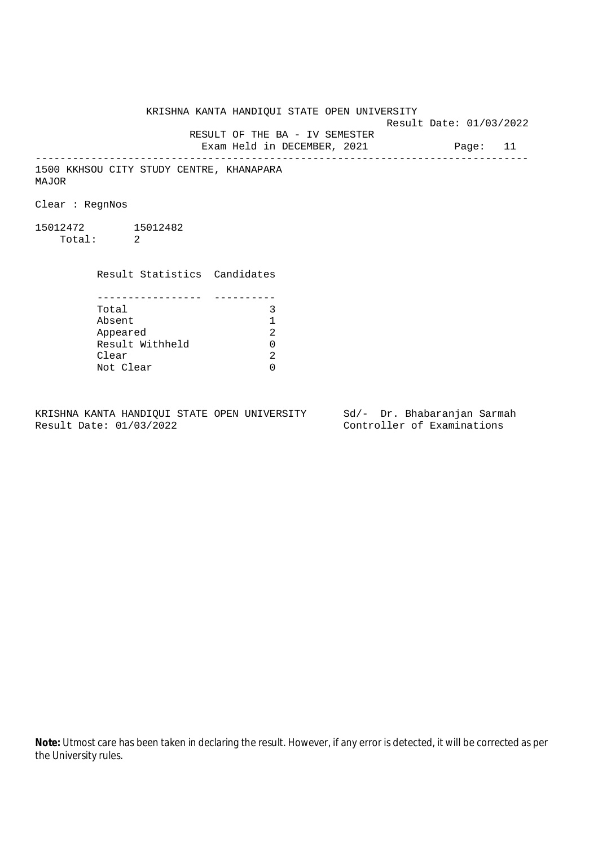KRISHNA KANTA HANDIQUI STATE OPEN UNIVERSITY Result Date: 01/03/2022 RESULT OF THE BA - IV SEMESTER

Exam Held in DECEMBER, 2021 Page: 11 --------------------------------------------------------------------------------

1500 KKHSOU CITY STUDY CENTRE, KHANAPARA MAJOR

Clear : RegnNos

15012472 15012482 Total: 2

Result Statistics Candidates

| Total           |    |
|-----------------|----|
| Absent          |    |
| Appeared        | 2. |
| Result Withheld |    |
| Clear           | 2. |
| Not Clear       |    |

KRISHNA KANTA HANDIQUI STATE OPEN UNIVERSITY Sd/- Dr. Bhabaranjan Sarmah<br>Result Date: 01/03/2022

Controller of Examinations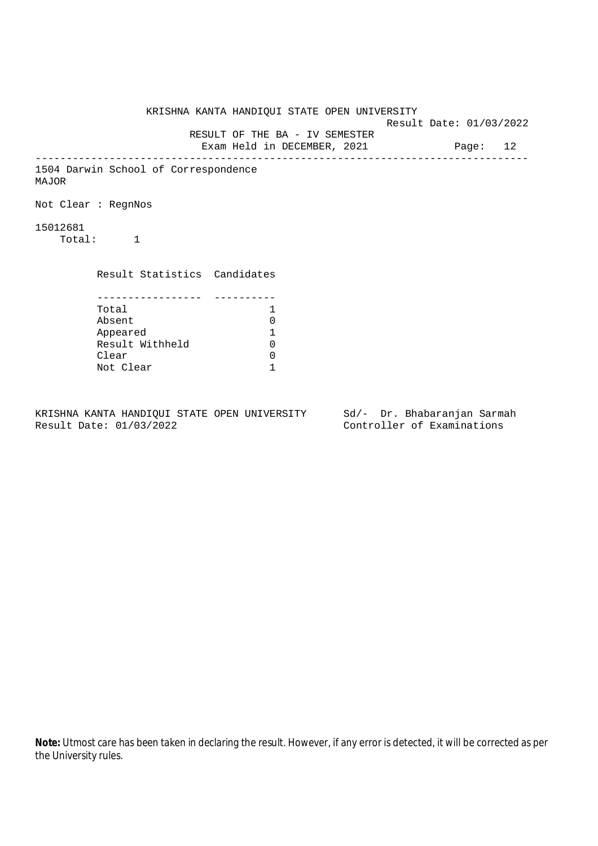KRISHNA KANTA HANDIQUI STATE OPEN UNIVERSITY Result Date: 01/03/2022 RESULT OF THE BA - IV SEMESTER Exam Held in DECEMBER, 2021 Page: 12 -------------------------------------------------------------------------------- 1504 Darwin School of Correspondence MAJOR Not Clear : RegnNos 15012681 Total: 1 Result Statistics Candidates ----------------- ---------- Total 1 Absent 0<br>
Appeared 1<br>
Result Withheld 0 Appeared 1 Result Withheld 0 Clear 0 Not Clear 1

KRISHNA KANTA HANDIQUI STATE OPEN UNIVERSITY Sd/- Dr. Bhabaranjan Sarmah Result Date: 01/03/2022 Controller of Examinations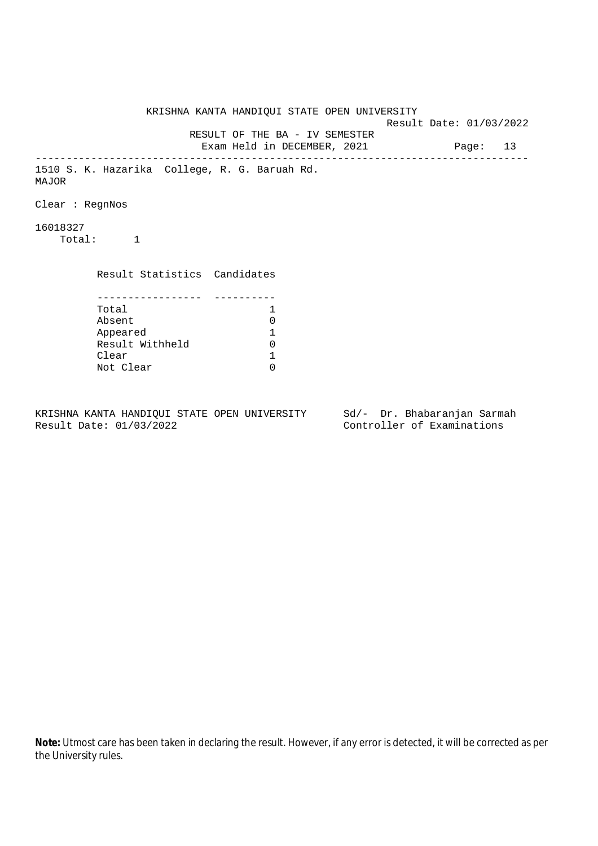KRISHNA KANTA HANDIQUI STATE OPEN UNIVERSITY Result Date: 01/03/2022 RESULT OF THE BA - IV SEMESTER Exam Held in DECEMBER, 2021 Page: 13 -------------------------------------------------------------------------------- 1510 S. K. Hazarika College, R. G. Baruah Rd. MAJOR Clear : RegnNos 16018327 Total: 1 Result Statistics Candidates ----------------- ---------- Total 1 Absent<br>
Appeared 1<br>
Result Withheld 0<br>
Clear 1 Appeared 1 Result Withheld Clear Not Clear 0

KRISHNA KANTA HANDIQUI STATE OPEN UNIVERSITY Sd/- Dr. Bhabaranjan Sarmah Result Date: 01/03/2022 Controller of Examinations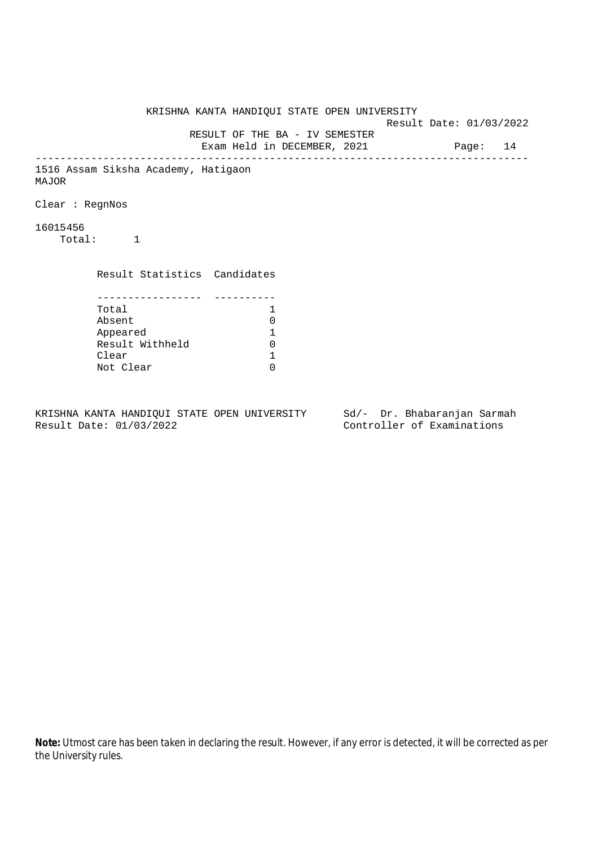KRISHNA KANTA HANDIQUI STATE OPEN UNIVERSITY Result Date: 01/03/2022 RESULT OF THE BA - IV SEMESTER Exam Held in DECEMBER, 2021 Page: 14 -------------------------------------------------------------------------------- 1516 Assam Siksha Academy, Hatigaon MAJOR Clear : RegnNos 16015456 Total: 1 Result Statistics Candidates ----------------- ---------- Total 1 Absent<br>
Appeared 1<br>
Result Withheld 0<br>
Clear 1 Appeared 1 Result Withheld Clear Not Clear 0

KRISHNA KANTA HANDIQUI STATE OPEN UNIVERSITY Sd/- Dr. Bhabaranjan Sarmah Result Date: 01/03/2022 Controller of Examinations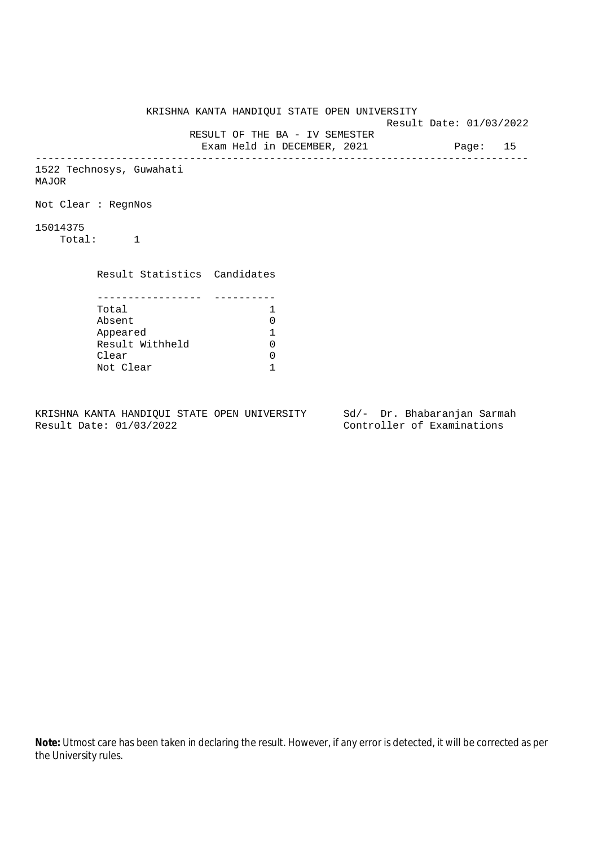KRISHNA KANTA HANDIQUI STATE OPEN UNIVERSITY Result Date: 01/03/2022 RESULT OF THE BA - IV SEMESTER Exam Held in DECEMBER, 2021 Page: 15 -------------------------------------------------------------------------------- 1522 Technosys, Guwahati MAJOR Not Clear : RegnNos 15014375 Total: 1 Result Statistics Candidates ----------------- ---------- Total 1<br>Absent 0 Absent 0<br>
Appeared 1<br>
Result Withheld 0 Appeared 1 Result Withheld 0 Clear 0 Not Clear 1

KRISHNA KANTA HANDIQUI STATE OPEN UNIVERSITY Sd/- Dr. Bhabaranjan Sarmah Result Date: 01/03/2022 Controller of Examinations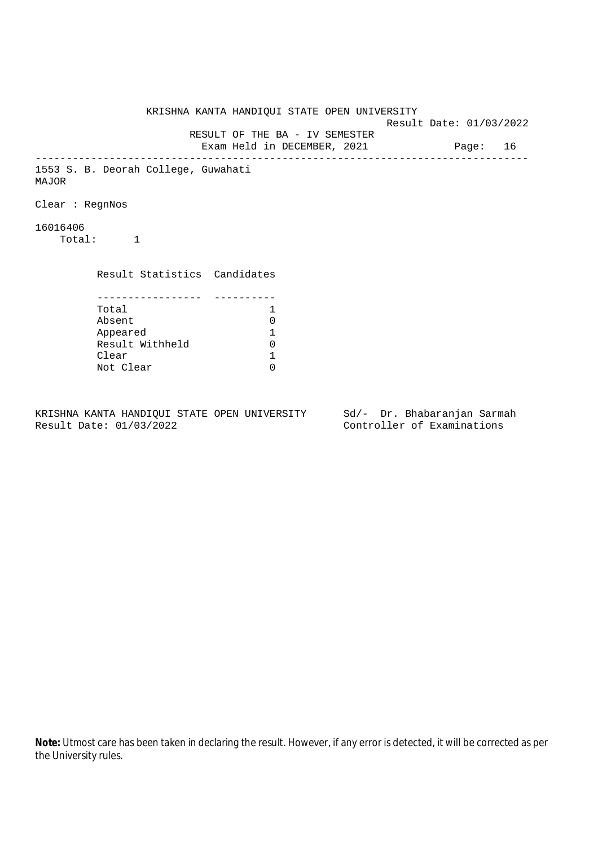KRISHNA KANTA HANDIQUI STATE OPEN UNIVERSITY Result Date: 01/03/2022 RESULT OF THE BA - IV SEMESTER Exam Held in DECEMBER, 2021 Page: 16 -------------------------------------------------------------------------------- 1553 S. B. Deorah College, Guwahati MAJOR Clear : RegnNos 16016406 Total: 1 Result Statistics Candidates ----------------- ---------- Total 1 Absent<br>
Appeared 1<br>
Result Withheld 0<br>
Clear 1 Appeared 1 Result Withheld Clear Not Clear 0

KRISHNA KANTA HANDIQUI STATE OPEN UNIVERSITY Sd/- Dr. Bhabaranjan Sarmah Result Date: 01/03/2022 Controller of Examinations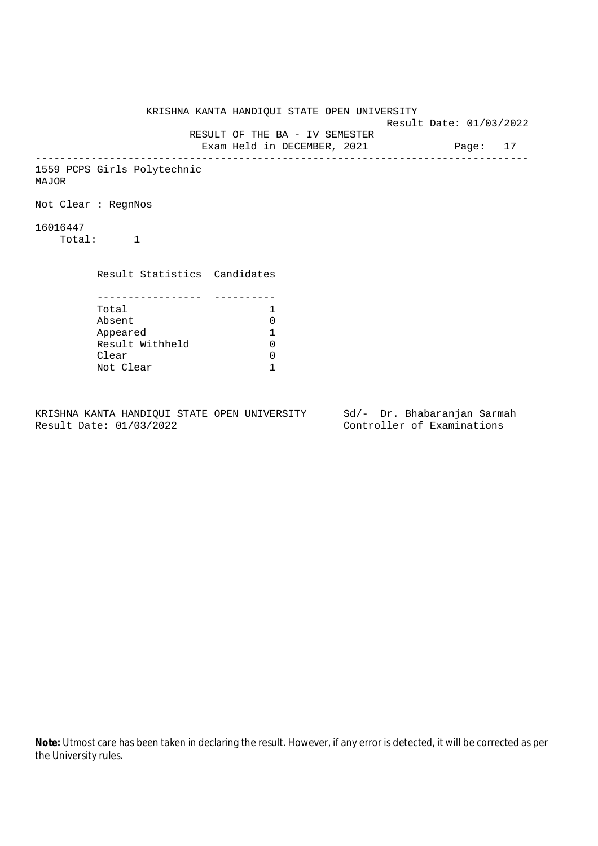| KRISHNA KANTA HANDIQUI STATE OPEN UNIVERSITY |                                                                        |  | Result Date: 01/03/2022 |  |  |
|----------------------------------------------|------------------------------------------------------------------------|--|-------------------------|--|--|
|                                              | RESULT OF THE BA - IV SEMESTER<br>Exam Held in DECEMBER, 2021 Page: 17 |  |                         |  |  |
| 1559 PCPS Girls Polytechnic<br>MAJOR         |                                                                        |  |                         |  |  |
| Not Clear : RegnNos                          |                                                                        |  |                         |  |  |
| 16016447<br>Total: 1                         |                                                                        |  |                         |  |  |
| Result Statistics Candidates                 |                                                                        |  |                         |  |  |
| Total                                        | 1                                                                      |  |                         |  |  |
| Absent                                       | $\Omega$                                                               |  |                         |  |  |
| Appeared                                     | 1                                                                      |  |                         |  |  |
| Result Withheld                              | $\Omega$                                                               |  |                         |  |  |
| Clear                                        |                                                                        |  |                         |  |  |
| Not Clear                                    | 0                                                                      |  |                         |  |  |

KRISHNA KANTA HANDIQUI STATE OPEN UNIVERSITY Sd/- Dr. Bhabaranjan Sarmah<br>Result Date: 01/03/2022 Controller of Examinations

Controller of Examinations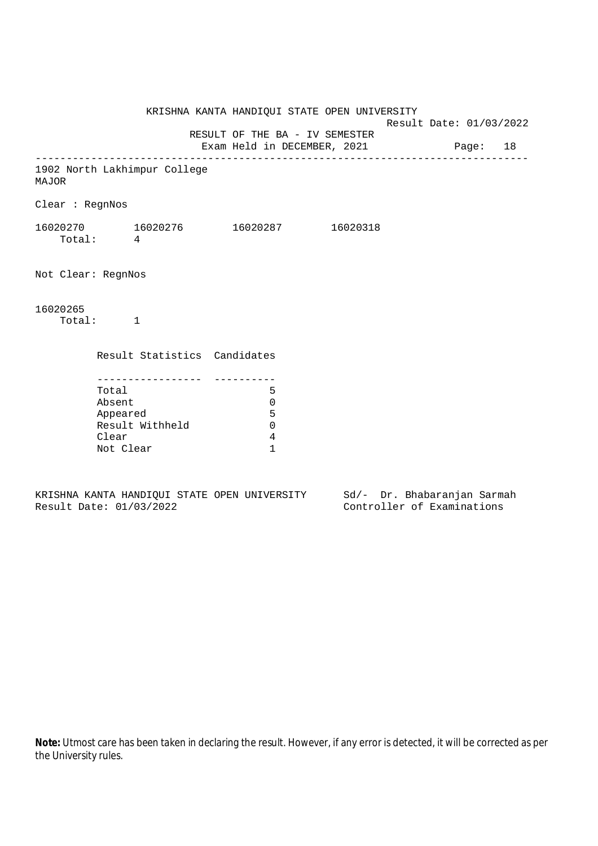KRISHNA KANTA HANDIQUI STATE OPEN UNIVERSITY Result Date: 01/03/2022 RESULT OF THE BA - IV SEMESTER Exam Held in DECEMBER, 2021 Page: 18 -------------------------------------------------------------------------------- 1902 North Lakhimpur College MAJOR Clear : RegnNos 16020270 16020276 16020287 16020318 Total: 4 Not Clear: RegnNos 16020265 Total: 1 Result Statistics Candidates ----------------- ---------- Total 5 Absent 0 Appeared 5 Result Withheld 0 Clear 4 Not Clear 1

KRISHNA KANTA HANDIQUI STATE OPEN UNIVERSITY Sd/- Dr. Bhabaranjan Sarmah Result Date: 01/03/2022 Controller of Examinations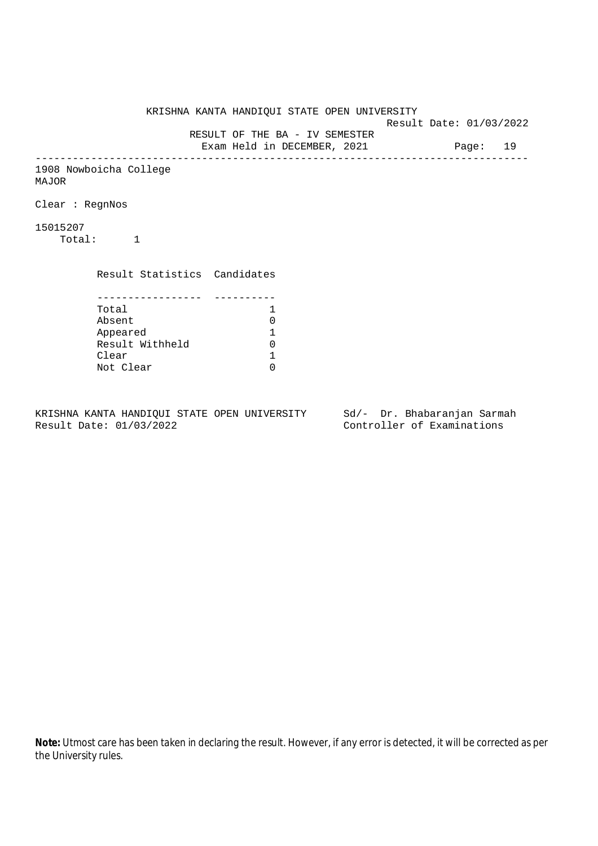KRISHNA KANTA HANDIQUI STATE OPEN UNIVERSITY Result Date: 01/03/2022 RESULT OF THE BA - IV SEMESTER Exam Held in DECEMBER, 2021 Page: 19 -------------------------------------------------------------------------------- 1908 Nowboicha College MAJOR Clear : RegnNos 15015207 Total: 1 Result Statistics Candidates ----------------- ---------- Total 1<br>Absent 0 Absent<br>
Appeared 1<br>
Result Withheld 0<br>
Clear 1 Appeared 1 Result Withheld 0 Clear Not Clear 0

KRISHNA KANTA HANDIQUI STATE OPEN UNIVERSITY Sd/- Dr. Bhabaranjan Sarmah Result Date: 01/03/2022 Controller of Examinations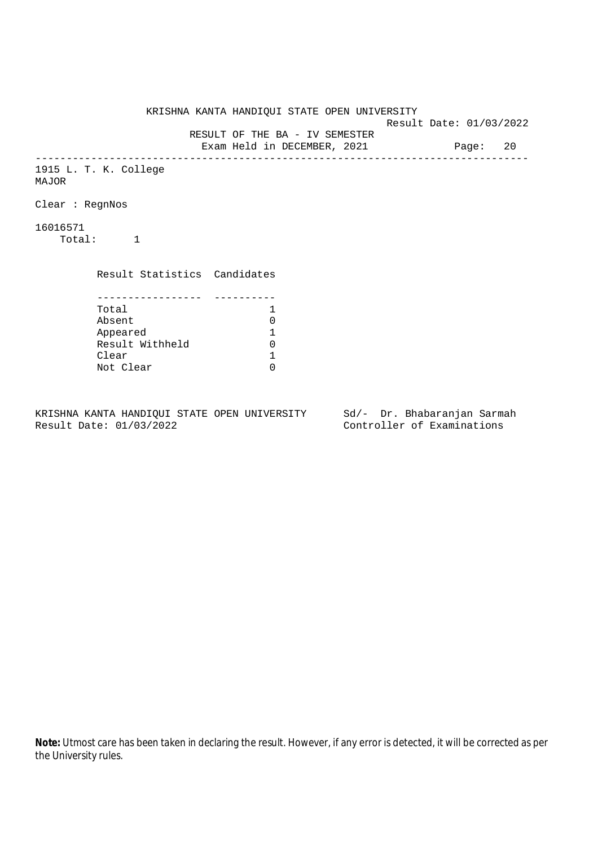KRISHNA KANTA HANDIQUI STATE OPEN UNIVERSITY Result Date: 01/03/2022 RESULT OF THE BA - IV SEMESTER Exam Held in DECEMBER, 2021 Page: 20 -------------------------------------------------------------------------------- 1915 L. T. K. College MAJOR Clear : RegnNos 16016571 Total: 1 Result Statistics Candidates ----------------- ---------- Total 1<br>Absent 0 Absent<br>
Appeared 1<br>
Result Withheld 0<br>
Clear 1 Appeared 1 Result Withheld 0 Clear Not Clear 0

KRISHNA KANTA HANDIQUI STATE OPEN UNIVERSITY Sd/- Dr. Bhabaranjan Sarmah Result Date: 01/03/2022 Controller of Examinations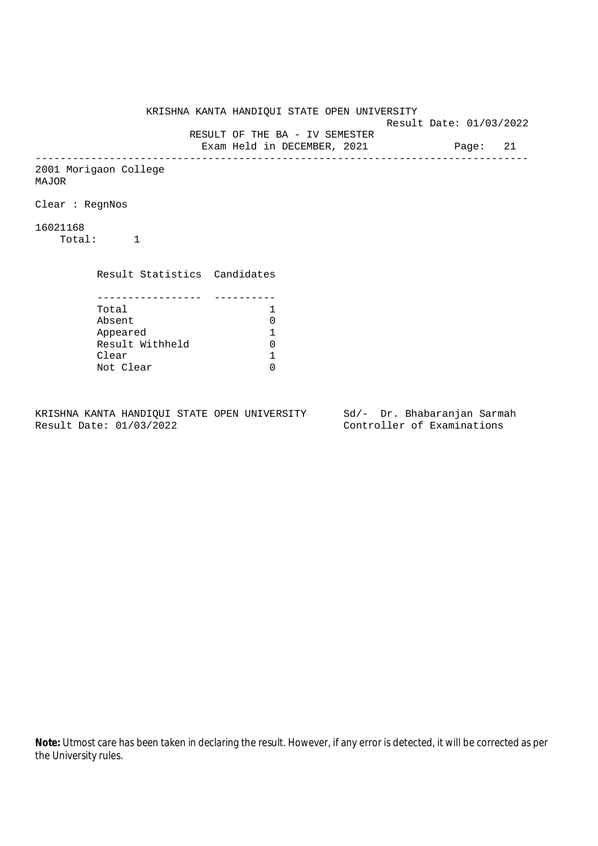KRISHNA KANTA HANDIQUI STATE OPEN UNIVERSITY Result Date: 01/03/2022 RESULT OF THE BA - IV SEMESTER Exam Held in DECEMBER, 2021 Page: 21 -------------------------------------------------------------------------------- 2001 Morigaon College MAJOR Clear : RegnNos 16021168 Total: 1 Result Statistics Candidates ----------------- ---------- Total 1<br>Absent 0 Absent<br>
Appeared 1<br>
Result Withheld 0<br>
Clear 1 Appeared 1 Result Withheld 0 Clear Not Clear 0

KRISHNA KANTA HANDIQUI STATE OPEN UNIVERSITY Sd/- Dr. Bhabaranjan Sarmah Result Date: 01/03/2022 Controller of Examinations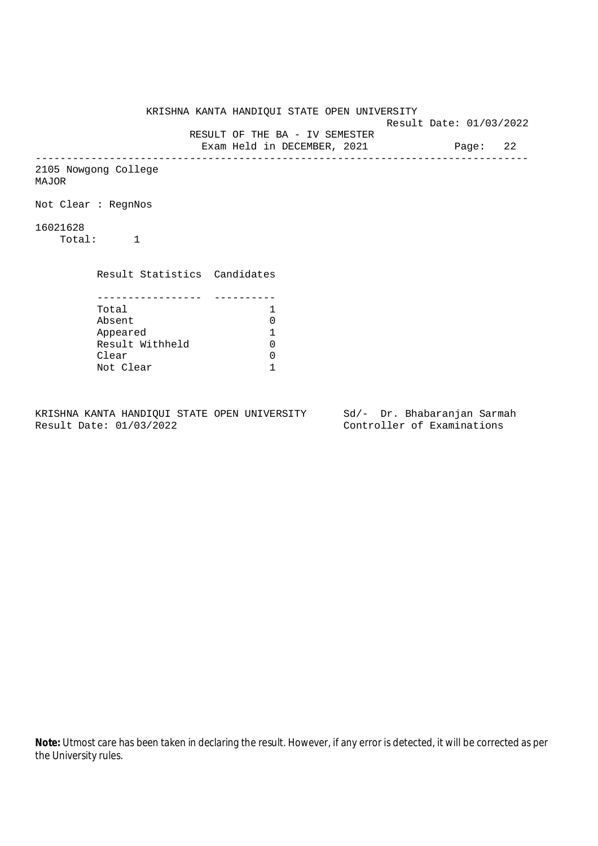KRISHNA KANTA HANDIQUI STATE OPEN UNIVERSITY Result Date: 01/03/2022 RESULT OF THE BA - IV SEMESTER Exam Held in DECEMBER, 2021 Page: 22 -------------------------------------------------------------------------------- 2105 Nowgong College MAJOR Not Clear : RegnNos 16021628 Total: 1 Result Statistics Candidates ----------------- ---------- Total 1<br>Absent 0 Absent 0<br>
Appeared 1<br>
Result Withheld 0 Appeared 1 Result Withheld 0 Clear 0 Not Clear 1

KRISHNA KANTA HANDIQUI STATE OPEN UNIVERSITY Sd/- Dr. Bhabaranjan Sarmah Result Date: 01/03/2022 Controller of Examinations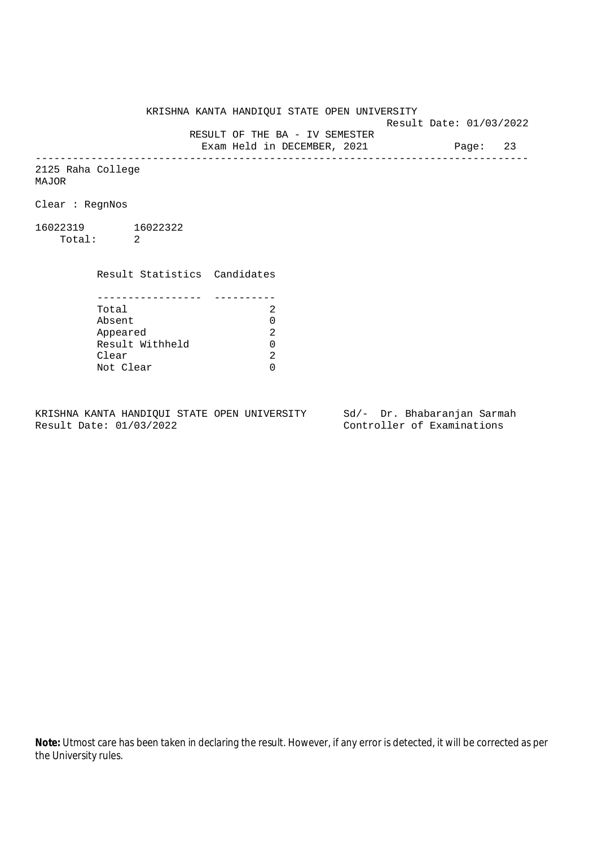KRISHNA KANTA HANDIQUI STATE OPEN UNIVERSITY

Result Date: 01/03/2022

 RESULT OF THE BA - IV SEMESTER Exam Held in DECEMBER, 2021 Page: 23

--------------------------------------------------------------------------------

2125 Raha College MAJOR

Clear : RegnNos

16022319 16022322 Total: 2

Clear

 Result Statistics Candidates ----------------- ---------- Total 2 Absent<br>
Appeared 2<br>
Result Withheld 0<br>
Clear 2 Appeared Result Withheld 0

Not Clear 0

KRISHNA KANTA HANDIQUI STATE OPEN UNIVERSITY Sd/- Dr. Bhabaranjan Sarmah Result Date: 01/03/2022 Controller of Examinations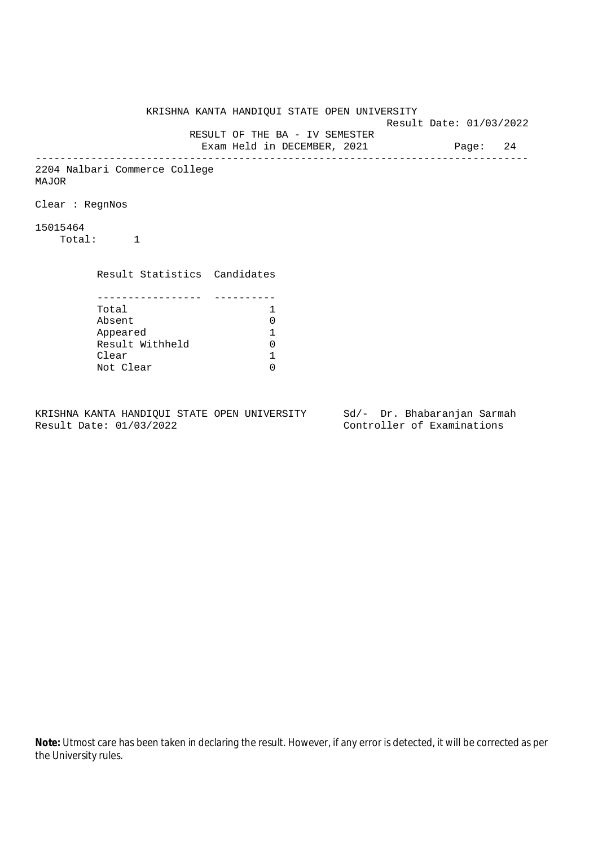KRISHNA KANTA HANDIQUI STATE OPEN UNIVERSITY Result Date: 01/03/2022 RESULT OF THE BA - IV SEMESTER Exam Held in DECEMBER, 2021 Page: 24 -------------------------------------------------------------------------------- 2204 Nalbari Commerce College MAJOR Clear : RegnNos 15015464 Total: 1 Result Statistics Candidates ----------------- ---------- Total 1 Absent<br>
Appeared 1<br>
Result Withheld 0<br>
Clear 1 Appeared 1 Result Withheld Clear Not Clear 0

KRISHNA KANTA HANDIQUI STATE OPEN UNIVERSITY Sd/- Dr. Bhabaranjan Sarmah Result Date: 01/03/2022 Controller of Examinations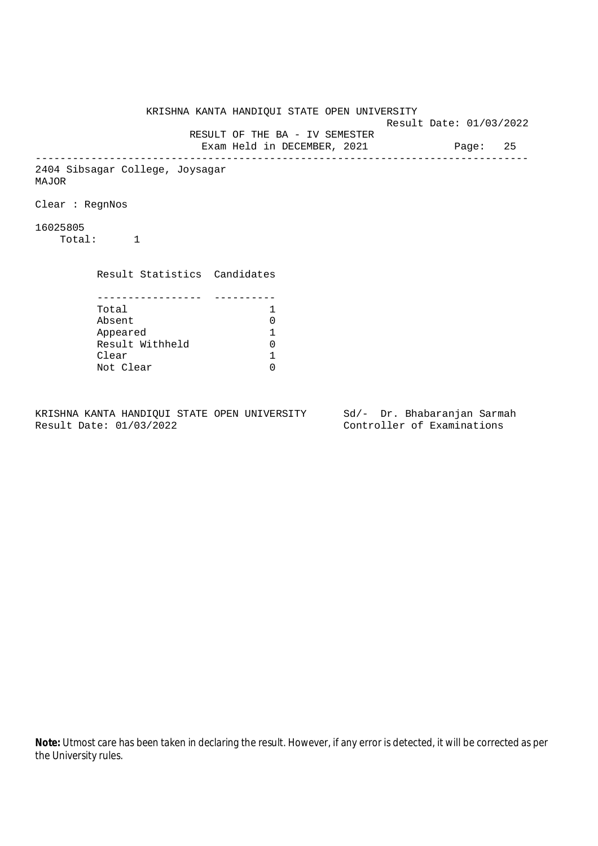KRISHNA KANTA HANDIQUI STATE OPEN UNIVERSITY Result Date: 01/03/2022 RESULT OF THE BA - IV SEMESTER Exam Held in DECEMBER, 2021 Page: 25 -------------------------------------------------------------------------------- 2404 Sibsagar College, Joysagar MAJOR Clear : RegnNos 16025805 Total: 1 Result Statistics Candidates ----------------- ---------- Total 1 Absent<br>
Appeared 1<br>
Result Withheld 0<br>
Clear 1 Appeared 1 Result Withheld Clear Not Clear 0

KRISHNA KANTA HANDIQUI STATE OPEN UNIVERSITY Sd/- Dr. Bhabaranjan Sarmah Result Date: 01/03/2022 Controller of Examinations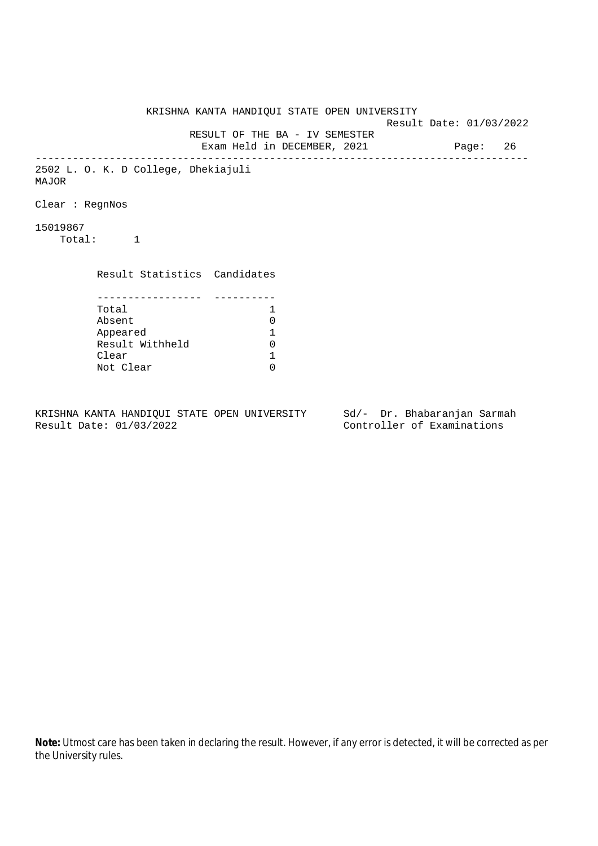KRISHNA KANTA HANDIQUI STATE OPEN UNIVERSITY Result Date: 01/03/2022 RESULT OF THE BA - IV SEMESTER Exam Held in DECEMBER, 2021 Page: 26 -------------------------------------------------------------------------------- 2502 L. O. K. D College, Dhekiajuli MAJOR Clear : RegnNos 15019867 Total: 1 Result Statistics Candidates ----------------- ---------- Total 1 Absent<br>
Appeared 1<br>
Result Withheld 0<br>
Clear 1 Appeared 1 Result Withheld Clear Not Clear 0

KRISHNA KANTA HANDIQUI STATE OPEN UNIVERSITY Sd/- Dr. Bhabaranjan Sarmah Result Date: 01/03/2022 Controller of Examinations